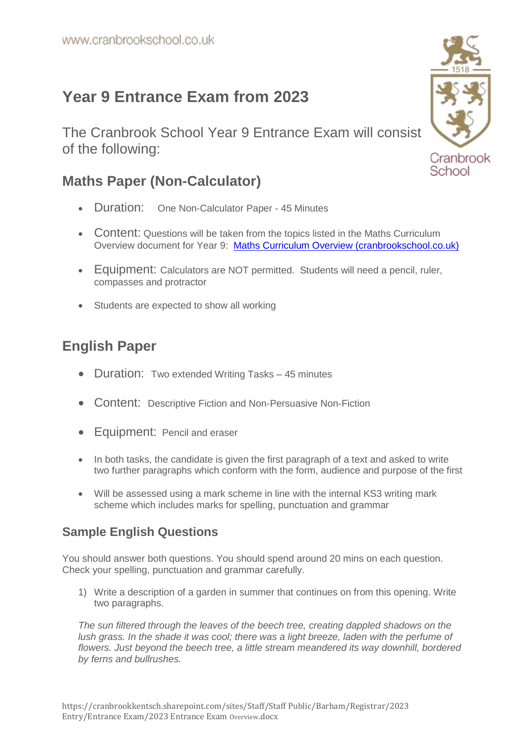# **Year 9 Entrance Exam from 2023**

The Cranbrook School Year 9 Entrance Exam will consist of the following:

## **Maths Paper (Non-Calculator)**

- Duration: One Non-Calculator Paper 45 Minutes
- Content: Questions will be taken from the topics listed in the Maths Curriculum Overview document for Year 9: [Maths Curriculum Overview \(cranbrookschool.co.uk\)](https://www.cranbrookschool.co.uk/wp-content/uploads/2021/10/Maths-Curriculum-Overview-2021-2022-1.pdf)
- Equipment: Calculators are NOT permitted. Students will need a pencil, ruler, compasses and protractor
- Students are expected to show all working

## **English Paper**

- Duration: Two extended Writing Tasks 45 minutes
- Content: Descriptive Fiction and Non-Persuasive Non-Fiction
- Equipment: Pencil and eraser
- In both tasks, the candidate is given the first paragraph of a text and asked to write two further paragraphs which conform with the form, audience and purpose of the first
- Will be assessed using a mark scheme in line with the internal KS3 writing mark scheme which includes marks for spelling, punctuation and grammar

#### **Sample English Questions**

You should answer both questions. You should spend around 20 mins on each question. Check your spelling, punctuation and grammar carefully.

1) Write a description of a garden in summer that continues on from this opening. Write two paragraphs.

*The sun filtered through the leaves of the beech tree, creating dappled shadows on the lush grass. In the shade it was cool; there was a light breeze, laden with the perfume of flowers. Just beyond the beech tree, a little stream meandered its way downhill, bordered by ferns and bullrushes.*